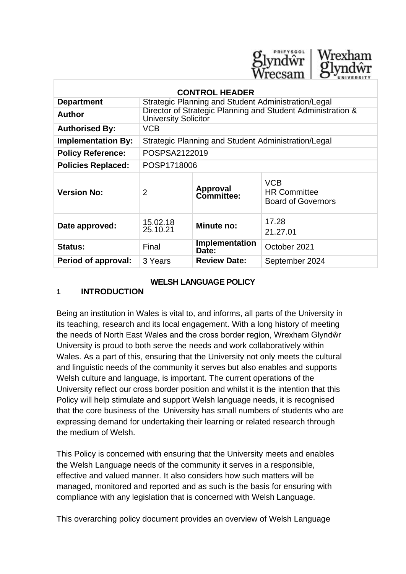

| <b>CONTROL HEADER</b>     |                                                                                            |                               |                                                                |
|---------------------------|--------------------------------------------------------------------------------------------|-------------------------------|----------------------------------------------------------------|
| <b>Department</b>         | Strategic Planning and Student Administration/Legal                                        |                               |                                                                |
| <b>Author</b>             | Director of Strategic Planning and Student Administration &<br><b>University Solicitor</b> |                               |                                                                |
| <b>Authorised By:</b>     | <b>VCB</b>                                                                                 |                               |                                                                |
| <b>Implementation By:</b> | Strategic Planning and Student Administration/Legal                                        |                               |                                                                |
| <b>Policy Reference:</b>  | POSPSA2122019                                                                              |                               |                                                                |
| <b>Policies Replaced:</b> | POSP1718006                                                                                |                               |                                                                |
| <b>Version No:</b>        | $\overline{2}$                                                                             | <b>Approval</b><br>Committee: | <b>VCB</b><br><b>HR Committee</b><br><b>Board of Governors</b> |
| Date approved:            | 15.02.18<br>25.10.21                                                                       | Minute no:                    | 17.28<br>21.27.01                                              |
| <b>Status:</b>            | Final                                                                                      | Implementation<br>Date:       | October 2021                                                   |
| Period of approval:       | 3 Years                                                                                    | <b>Review Date:</b>           | September 2024                                                 |

#### **WELSH LANGUAGE POLICY**

### **1 INTRODUCTION**

Being an institution in Wales is vital to, and informs, all parts of the University in its teaching, research and its local engagement. With a long history of meeting the needs of North East Wales and the cross border region, Wrexham Glyndŵr University is proud to both serve the needs and work collaboratively within Wales. As a part of this, ensuring that the University not only meets the cultural and linguistic needs of the community it serves but also enables and supports Welsh culture and language, is important. The current operations of the University reflect our cross border position and whilst it is the intention that this Policy will help stimulate and support Welsh language needs, it is recognised that the core business of the University has small numbers of students who are expressing demand for undertaking their learning or related research through the medium of Welsh.

This Policy is concerned with ensuring that the University meets and enables the Welsh Language needs of the community it serves in a responsible, effective and valued manner. It also considers how such matters will be managed, monitored and reported and as such is the basis for ensuring with compliance with any legislation that is concerned with Welsh Language.

This overarching policy document provides an overview of Welsh Language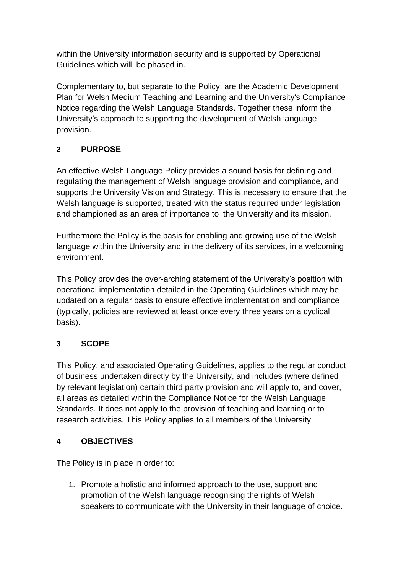within the University information security and is supported by Operational Guidelines which will be phased in.

Complementary to, but separate to the Policy, are the Academic Development Plan for Welsh Medium Teaching and Learning and the University's Compliance Notice regarding the Welsh Language Standards. Together these inform the University's approach to supporting the development of Welsh language provision.

# **2 PURPOSE**

An effective Welsh Language Policy provides a sound basis for defining and regulating the management of Welsh language provision and compliance, and supports the University Vision and Strategy. This is necessary to ensure that the Welsh language is supported, treated with the status required under legislation and championed as an area of importance to the University and its mission.

Furthermore the Policy is the basis for enabling and growing use of the Welsh language within the University and in the delivery of its services, in a welcoming environment.

This Policy provides the over-arching statement of the University's position with operational implementation detailed in the Operating Guidelines which may be updated on a regular basis to ensure effective implementation and compliance (typically, policies are reviewed at least once every three years on a cyclical basis).

# **3 SCOPE**

This Policy, and associated Operating Guidelines, applies to the regular conduct of business undertaken directly by the University, and includes (where defined by relevant legislation) certain third party provision and will apply to, and cover, all areas as detailed within the Compliance Notice for the Welsh Language Standards. It does not apply to the provision of teaching and learning or to research activities. This Policy applies to all members of the University.

#### **4 OBJECTIVES**

The Policy is in place in order to:

1. Promote a holistic and informed approach to the use, support and promotion of the Welsh language recognising the rights of Welsh speakers to communicate with the University in their language of choice.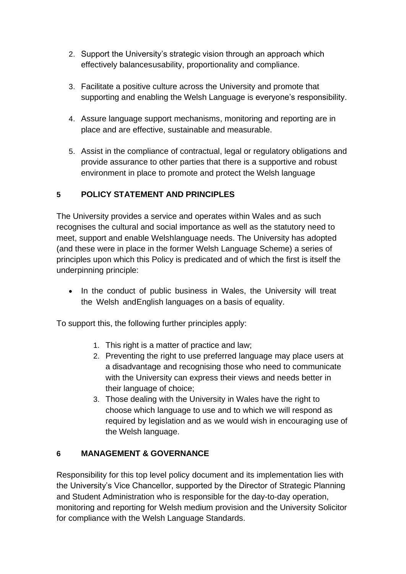- 2. Support the University's strategic vision through an approach which effectively balancesusability, proportionality and compliance.
- 3. Facilitate a positive culture across the University and promote that supporting and enabling the Welsh Language is everyone's responsibility.
- 4. Assure language support mechanisms, monitoring and reporting are in place and are effective, sustainable and measurable.
- 5. Assist in the compliance of contractual, legal or regulatory obligations and provide assurance to other parties that there is a supportive and robust environment in place to promote and protect the Welsh language

# **5 POLICY STATEMENT AND PRINCIPLES**

The University provides a service and operates within Wales and as such recognises the cultural and social importance as well as the statutory need to meet, support and enable Welshlanguage needs. The University has adopted (and these were in place in the former Welsh Language Scheme) a series of principles upon which this Policy is predicated and of which the first is itself the underpinning principle:

• In the conduct of public business in Wales, the University will treat the Welsh andEnglish languages on a basis of equality.

To support this, the following further principles apply:

- 1. This right is a matter of practice and law;
- 2. Preventing the right to use preferred language may place users at a disadvantage and recognising those who need to communicate with the University can express their views and needs better in their language of choice;
- 3. Those dealing with the University in Wales have the right to choose which language to use and to which we will respond as required by legislation and as we would wish in encouraging use of the Welsh language.

#### **6 MANAGEMENT & GOVERNANCE**

Responsibility for this top level policy document and its implementation lies with the University's Vice Chancellor, supported by the Director of Strategic Planning and Student Administration who is responsible for the day-to-day operation, monitoring and reporting for Welsh medium provision and the University Solicitor for compliance with the Welsh Language Standards.